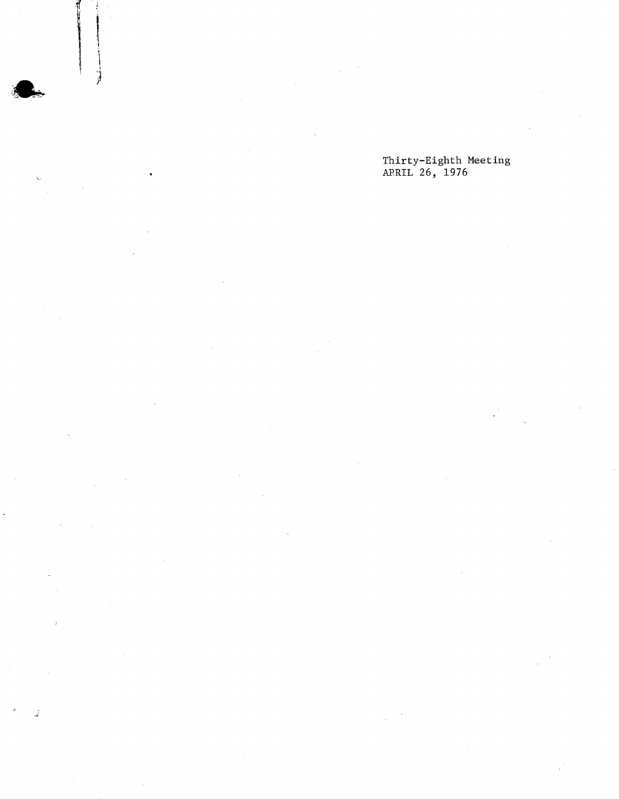## Thirty-Eighth Meeting APRIL 26, 1976

)

í,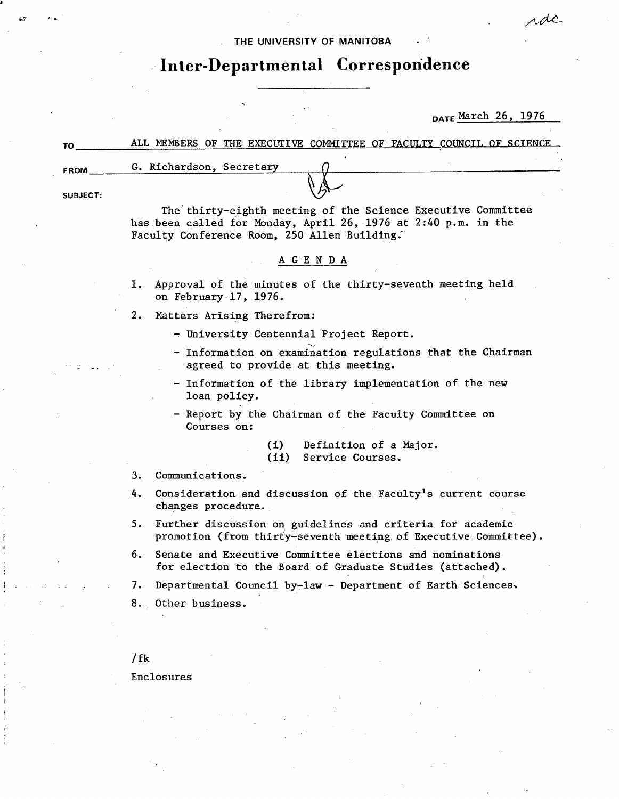### THE UNIVERSITY **OF MANITOBA**

# **Inter-Departmental Correspondence**

## DATE March 26, 1976

rdc

| TO          | ALL MEMBERS OF THE EXECUTIVE COMMITTEE OF FACULTY COUNCIL OF SCIENCE                                                                                                           |  |  |  |  |  |  |
|-------------|--------------------------------------------------------------------------------------------------------------------------------------------------------------------------------|--|--|--|--|--|--|
| <b>FROM</b> | G. Richardson, Secretary                                                                                                                                                       |  |  |  |  |  |  |
| SUBJECT:    |                                                                                                                                                                                |  |  |  |  |  |  |
|             | The thirty-eighth meeting of the Science Executive Committee<br>has been called for Monday, April 26, 1976 at 2:40 p.m. in the<br>Faculty Conference Room, 250 Allen Building. |  |  |  |  |  |  |
| AGENDA      |                                                                                                                                                                                |  |  |  |  |  |  |
|             | Approval of the minutes of the thirty-seventh meeting held<br>1.<br>on February 17, 1976.                                                                                      |  |  |  |  |  |  |
|             | Matters Arising Therefrom:                                                                                                                                                     |  |  |  |  |  |  |

Matters Arising Therefrom:

- University Centennial Project Report.

- Information on examination regulations that the Chairman agreed to provide at this meeting.
- Information of the library implementation of the new loan policy.
- Report by the Chairman of the Faculty Committee on Courses on:
	- (i) Definition of a Major.<br>(ii) Service Courses.
	- Service Courses.
- Communications.  $3.$
- 4. Consideration and discussion of the Faculty's current course changes procedure.
- 5. Further discussion on guidelines and criteria for academic promotion (from thirty-seventh meeting. of Executive Committee).
- 6. Senate and Executive Committee elections and nominations for election to the Board of Graduate Studies (attached).
- $7.$ Departmental Council by-law- Department of Earth Sciences,
- $8.$ Other business.

/ fk

Enclosures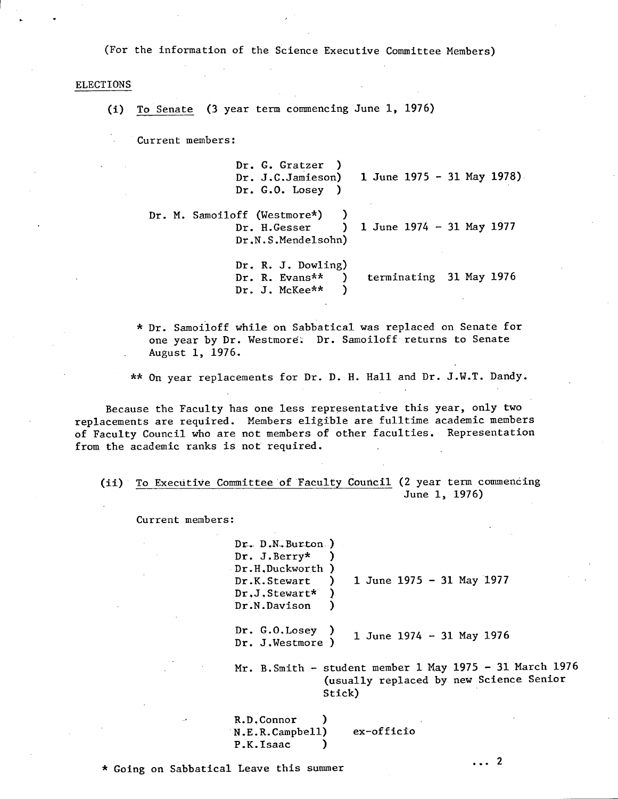(For the information of the Science Executive Committee Members)

#### ELECTIONS

(1) To Senate (3 year term commencing June 1, 1976)

Current members:

Dr. G. Gratzer ) Dr. J.C.Jamieson) 1 June 1975 - 31 May 1978) Dr. G.O. Losey )

Dr. M. Samoiloff (Westmore\*) )<br>Dr. H.Gesser )  $1$  June 1974 - 31 May 1977 Dr.N.S.Mendelsohn)

> Dr. R. J. Dowling) Dr. R. Evans\*\* ) terminating 31 May 1976<br>Dr. J. McKee\*\* ) Dr. J. NcKee\*\* )

\* Dr. Samoiloff while on Sabbatical was replaced on Senate for one year by Dr. Westmore. Dr. Samoiloff returns to Senate August 1, 1976.

\*\* On year replacements for Dr. D. H. Hall and Dr. J.W.T. Dandy.

Because the Faculty has one less representative this year, only two replacements are required. Members eligible are fulitime academic members of Faculty Council who are not members of other faculties. Representation from the academic ranks is not required.

(ii) To Executive Committee of Faculty Council (2 year term commencing June 1, 1976)

Current members:

 $Dr.$  D.N. Burton ) Dr. J.Berry\* ) Dr.H,Duckworth ) Dr.K.Stewart ) Dr.J.Stewart\* ) Dr.N.Davison ) 1 June 1975 - 31 May 1977

Dr. G.O.Losey ) Dr. J.Westmore ) 1 June 1974 - 31 May 1976

Mr. B.Smith - student member 1 May 1975 - 31 March 1976 (usually replaced by new Science Senior Stick)

R.D.Connor N.E.R.Campbell) ex-officio P.K.Isaac )

\* Going on Sabbatical Leave this summer  $\cdots$  2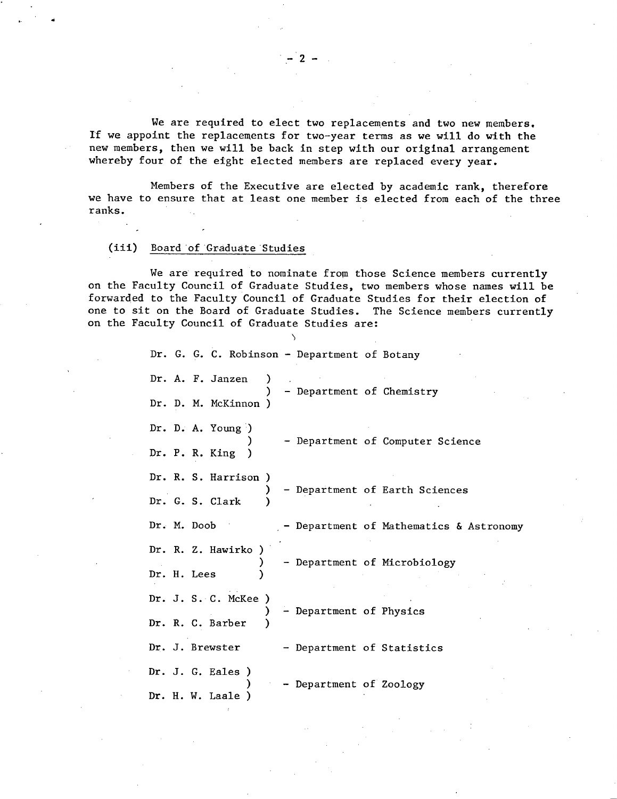We are required to elect two replacements and two new members, If we appoint the replacements for two-year terms as we will do with the new members, then we will be back in step with our original arrangement whereby four of the eight elected members are replaced every year.

Members of the Executive are elected by academic rank, therefore we have to ensure that at least one member is elected from each of the three ranks.

## (iii) Board of Graduate Studies

We are required to nominate from those Science members currently on the Faculty Council of Graduate Studies, two members whose names will be forwarded to the Faculty Council of Graduate Studies for their election of one to sit on the Board of Graduate Studies. The Science members currently on the Faculty Council of Graduate Studies are:

|             |  | Dr. G. G. C. Robinson - Department of Botany |  |                            |  |                                       |
|-------------|--|----------------------------------------------|--|----------------------------|--|---------------------------------------|
|             |  | Dr. A. F. Janzen                             |  | - Department of Chemistry  |  |                                       |
|             |  | Dr. D. M. McKinnon )                         |  |                            |  |                                       |
|             |  | Dr. D. A. Young $)$                          |  |                            |  | - Department of Computer Science      |
|             |  | Dr. P. R. King                               |  |                            |  |                                       |
|             |  | Dr. R. S. Harrison                           |  |                            |  | Department of Earth Sciences          |
|             |  | Dr. G. S. Clark                              |  |                            |  |                                       |
| Dr. M. Doob |  |                                              |  |                            |  | Department of Mathematics & Astronomy |
|             |  | Dr. R. Z. Hawirko                            |  |                            |  | Department of Microbiology            |
| Dr. H. Lees |  |                                              |  |                            |  |                                       |
|             |  | Dr. J. S. C. McKee                           |  | - Department of Physics    |  |                                       |
|             |  | Dr. R. C. Barber                             |  |                            |  |                                       |
|             |  | Dr. J. Brewster                              |  | - Department of Statistics |  |                                       |
|             |  | Dr. J. G. Eales)                             |  | Department of Zoology      |  |                                       |
|             |  | Dr. H. W. Laale)                             |  |                            |  |                                       |

 $-2-$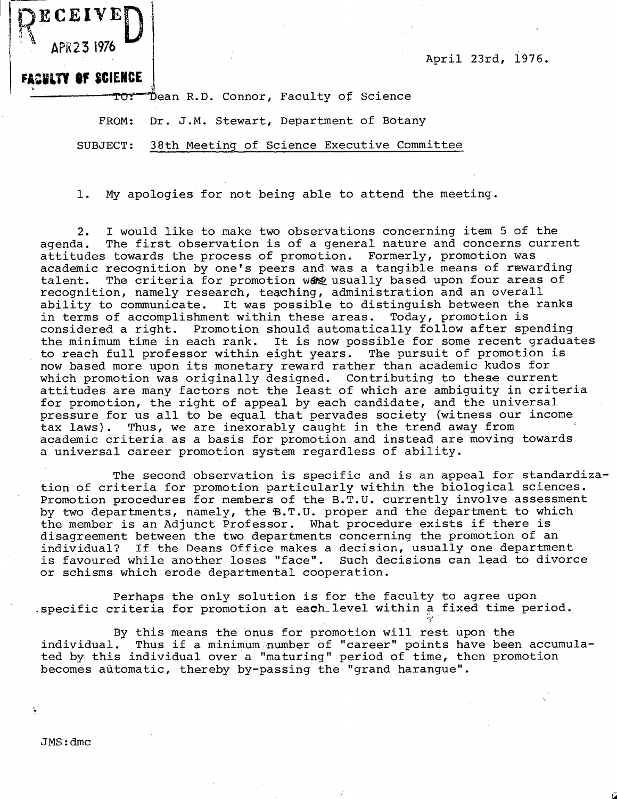April 23rd, 1976.

**BLTY OF SCIENCE** 

**ECEIVE** 

APR23 1976

R

Dean R.D. Connor, Faculty of Science

FROM: Dr. J.M. Stewart, Department of Botany

SUBJECT: 38th Meeting of Science Executive Committee

1. My apologies for not being able to attend the meeting.

I would like to make two observations concerning item 5 of the  $2.$ agenda. The first observation is of a general nature and concerns current attitudes towards the process of promotion. Formerly, promotion was academic recognition by one's peers and was a tangible means of rewarding talent. The criteria for promotion ware usually based upon four areas of recognition, namely research, teaching, administration and an overall ability to communicate. It was possible to distinguish between the ranks in terms of accomplishment within these areas. Today, promotion is considered a right. Promotion should automatically follow after spending the minimum time in each rank. It is now possible for some recent graduates<br>to reach full professor within eight years. The pursuit of promotion is to reach full professor within eight years. now based more upon its monetary reward rather than academic kudos for which promotion was originally designed. Contributing to these current attitudes are many factors not the least of which are ambiguity in criteria for promotion, the right of appeal by each candidate, and the universal pressure for us all to be equal that pervades society (witness our income tax laws). Thus, we are inexorably caught in the trend away from academic criteria as a basis for promotion and instead are moving towards a universal career promotion system regardless of ability.

The second observation is specific and is an appeal for standardization of criteria for promotion particularly within the biological sciences. Promotion procedures for members of the B.T.U. currently involve assessment by two departments, namely, the B.T.U. proper and the department to which the member is an Adjunct Professor. What procedure exists if there is disagreement between the two departments concerning the promotion of an individual? If the Deans Office makes a decision, usually one department is favoured while another loses "face". Such decisions can lead to divorce or schisms which erode departmental cooperation.

Perhaps the only solution is for the faculty to agree upon specific criteria for promotion at each level within a fixed time period.

By this means the onus for promotion will rest upon the individual. Thus if a minimum number of "career" points have been Thus if a minimum number of "career" points have been accumulated by this individual over a "maturing" period of time, then promotion becomes automatic, thereby by-passing the "grand harangue".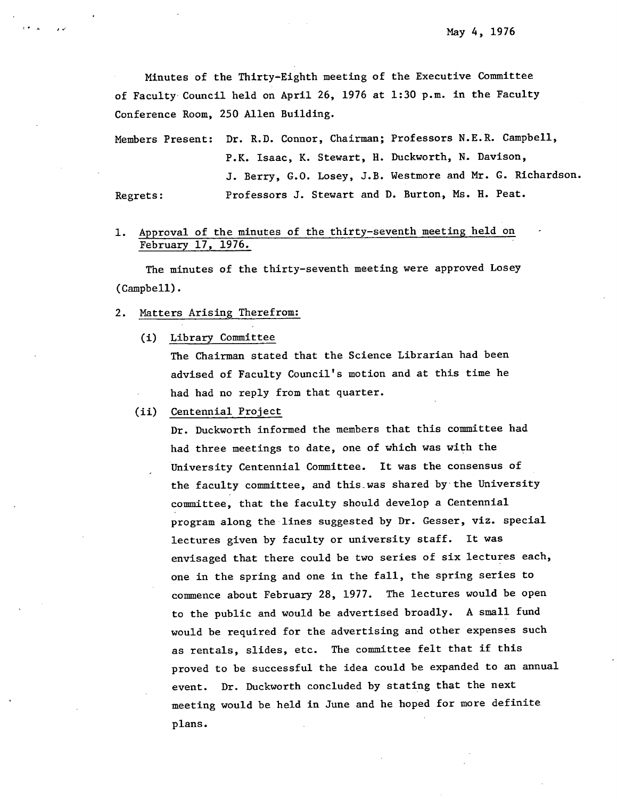Minutes of the Thirty-Eighth meeting of the Executive Committee of Faculty Council held on April 26, 1976 at 1:30 p.m. in the Faculty Conference Room, 250 Allen Building.

Members Present: Dr. R.D. Connor, Chairman; Professors N.E.R. Campbell, P.K. Isaac, K. Stewart, H. Duckworth, N. Davison, J. Berry, G.O. Losey, J.B. Westmore and Mr. G. Richardson. Regrets: Professors J. Stewart and D. Burton, Ms. H. Peat.

#### Approval of the minutes of the thirty-seventh meeting held on 1. February 17, 1976.

The minutes of the thirty-seventh meeting were approved Losey (Campbell).

- $2.$ Matters Arising Therefrom:
	- $(i)$ Library Committee

The Chairman stated that the Science Librarian had been advised of Faculty Council's motion and at this time he had had no reply from that quarter.

(ii) Centennial Project

Dr. Duckworth informed the members that this committee had had three meetings to date, one of which was with the University Centennial Committee. It was the consensus of the faculty committee, and this-was shared by-the University committee, that the faculty should develop a Centennial program along the lines suggested by Dr. Gesser, viz, special lectures given by faculty or university staff. It was envisaged that there could be two series of six lectures each, one in the spring and one in the fall, the spring series to commence about February 28, 1977. The lectures would be open to the public and would be advertised broadly. A small fund would be required for the advertising and other expenses such as rentals, slides, etc. The committee felt that if this proved to be successful the idea could be expanded to an annual event. Dr. Duckworth concluded by stating that the next meeting would be held in June and he hoped for more definite plans.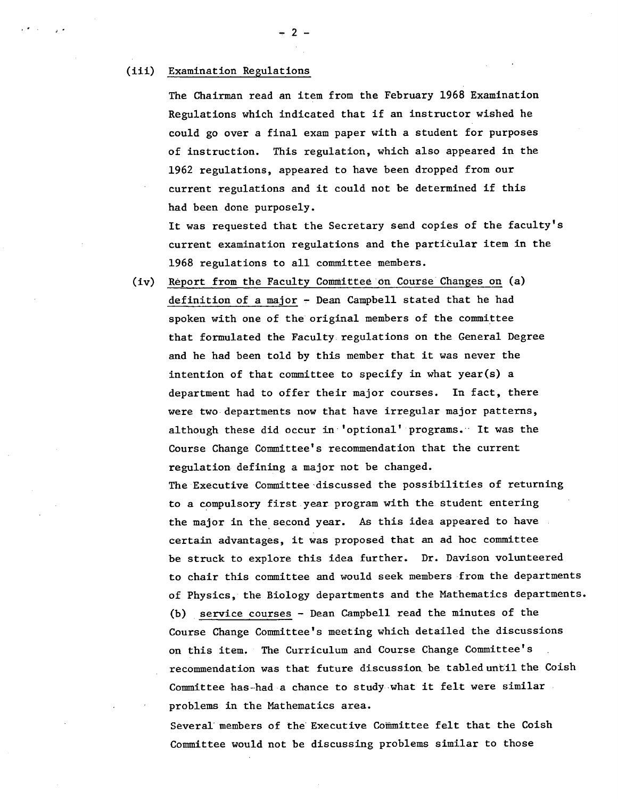#### (iii) Examination Regulations

The Chairman read an item from the February 1968 Examination Regulations which indicated that if an instructor wished he could go over a final exam paper with a student for purposes of instruction. This regulation, which also appeared in the 1962 regulations, appeared to have been dropped from our current regulations and it could not be determined if this had been done purposely.

It was requested that the Secretary send copies of the faculty's current examination regulations and the particular item in the 1968 regulations to all committee members.

Report from the Faculty Committee on Course Changes on (a)  $(iv)$ definition of a major - Dean Campbell stated that he had spoken with one of the original members of the committee that formulated the Faculty regulations on the General Degree and he had been told by this member that it was never the intention of that committee to specify in what year(s) a department had to offer their major courses. In fact, there were two departments now that have irregular major patterns, although these did occur in'optional' programs. It was the Course Change Committee's recommendation that the current regulation defining a major not be changed.

The Executive Committee 'discussed the possibilities of returning to a compulsory first year program with the student entering the major in the second year. As this idea appeared to have certain advantages, it was proposed that an ad hoc committee be struck to explore this idea further. Dr. Davison volunteered to chair this committee and would seek members from the departments of Physics, the Biology departments and the Mathematics departments. (b) service courses - Dean Campbell read the minutes of the Course Change Committee's meeting which detailed the discussions on this item. The Curriculum and Course Change Committee's recommendation was that future discussion be tabled until the Coish Committee has-had a chance to study what it felt were similar problems in the Mathematics area.

Several members of the' Executive Committee felt that the Coish Committee would not be discussing problems similar to those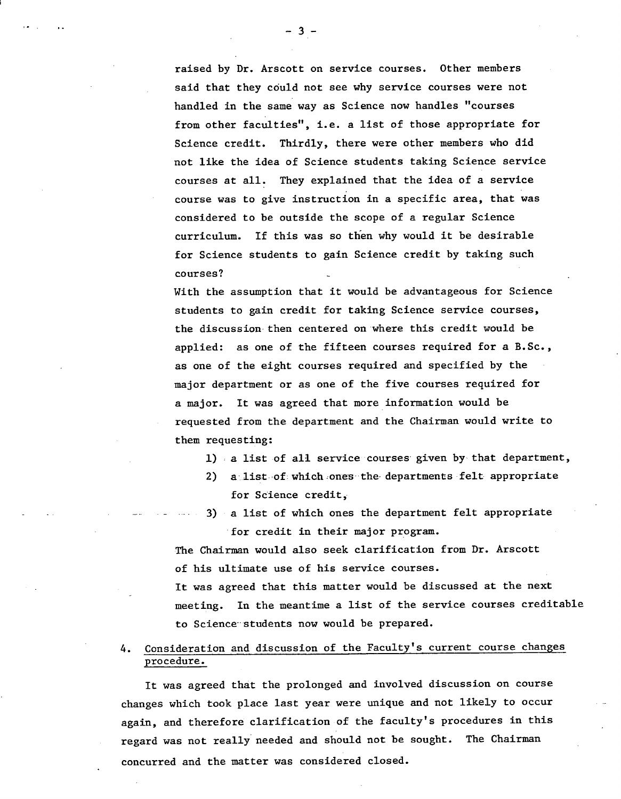raised by Dr. Arscott on service courses. Other members said that they could not see why service courses were not handled in the same way as Science now handles "courses from other facu1ties", **i.e.** a list of those appropriate for Science credit. Thirdly, there were other members who did not like the idea of Science students taking Science service courses at all. They explained that the idea of a service course was to give instruction in a specific area, that was considered to be outside the scope of a regular Science curriculum. If this was so then why would it be desirable for Science students to gain Science credit by taking such courses?

With the assumption that it would be advantageous for Science students to gain credit for taking Science service courses, the discussion then centered on where this credit would be applied: as one of the fifteen courses required for a B.Sc., as one of the eight courses required and specified by the major department or as one of the five courses required for a major. It was agreed that more information would be requested from the department and the Chairman would write to them requesting:

- 1) a list of all service courses given by that department,
- a list of which ones the departments felt appropriate  $2)$ for Science credit,
- 3) a list of which ones the department felt appropriate for credit in their major program.

The Chairman would also seek clarification from Dr. Arscott of his ultimate use of his service courses.

It was agreed that this matter would be discussed at the next meeting. In the meantime a list of the service courses creditable to Science students now would be prepared.

4. Consideration and discussion of the Faculty's current course changes procedure.

It was agreed that the prolonged and involved discussion on course changes which took place last year were unique and not likely to occur again, and therefore clarification of the faculty's procedures in this regard was not really needed and should not be sought. The Chairman concurred and the matter was considered closed.